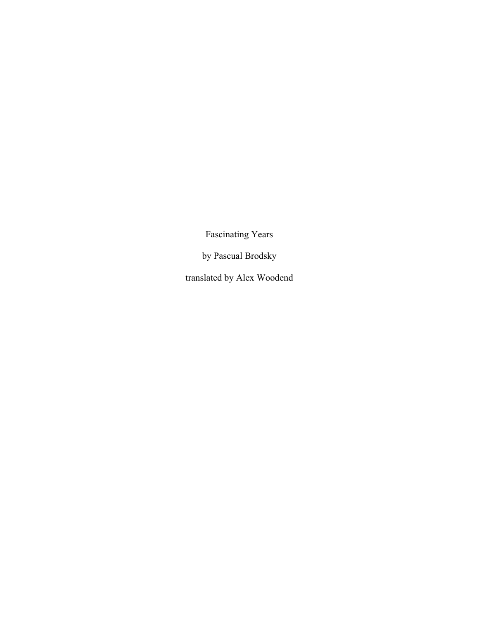Fascinating Years

by Pascual Brodsky

translated by Alex Woodend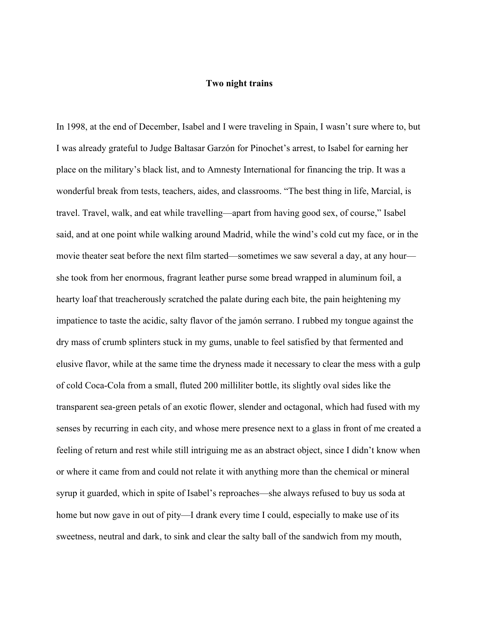## **Two night trains**

In 1998, at the end of December, Isabel and I were traveling in Spain, I wasn't sure where to, but I was already grateful to Judge Baltasar Garzón for Pinochet's arrest, to Isabel for earning her place on the military's black list, and to Amnesty International for financing the trip. It was a wonderful break from tests, teachers, aides, and classrooms. "The best thing in life, Marcial, is travel. Travel, walk, and eat while travelling—apart from having good sex, of course," Isabel said, and at one point while walking around Madrid, while the wind's cold cut my face, or in the movie theater seat before the next film started—sometimes we saw several a day, at any hour she took from her enormous, fragrant leather purse some bread wrapped in aluminum foil, a hearty loaf that treacherously scratched the palate during each bite, the pain heightening my impatience to taste the acidic, salty flavor of the jamón serrano. I rubbed my tongue against the dry mass of crumb splinters stuck in my gums, unable to feel satisfied by that fermented and elusive flavor, while at the same time the dryness made it necessary to clear the mess with a gulp of cold Coca-Cola from a small, fluted 200 milliliter bottle, its slightly oval sides like the transparent sea-green petals of an exotic flower, slender and octagonal, which had fused with my senses by recurring in each city, and whose mere presence next to a glass in front of me created a feeling of return and rest while still intriguing me as an abstract object, since I didn't know when or where it came from and could not relate it with anything more than the chemical or mineral syrup it guarded, which in spite of Isabel's reproaches—she always refused to buy us soda at home but now gave in out of pity—I drank every time I could, especially to make use of its sweetness, neutral and dark, to sink and clear the salty ball of the sandwich from my mouth,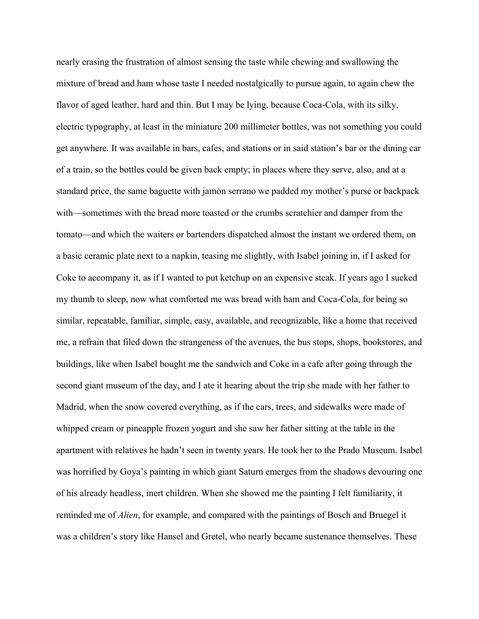nearly erasing the frustration of almost sensing the taste while chewing and swallowing the mixture of bread and ham whose taste I needed nostalgically to pursue again, to again chew the flavor of aged leather, hard and thin. But I may be lying, because Coca-Cola, with its silky, electric typography, at least in the miniature 200 millimeter bottles, was not something you could get anywhere. It was available in bars, cafes, and stations or in said station's bar or the dining car of a train, so the bottles could be given back empty; in places where they serve, also, and at a standard price, the same baguette with jamón serrano we padded my mother's purse or backpack with—sometimes with the bread more toasted or the crumbs scratchier and damper from the tomato—and which the waiters or bartenders dispatched almost the instant we ordered them, on a basic ceramic plate next to a napkin, teasing me slightly, with Isabel joining in, if I asked for Coke to accompany it, as if I wanted to put ketchup on an expensive steak. If years ago I sucked my thumb to sleep, now what comforted me was bread with ham and Coca-Cola, for being so similar, repeatable, familiar, simple, easy, available, and recognizable, like a home that received me, a refrain that filed down the strangeness of the avenues, the bus stops, shops, bookstores, and buildings, like when Isabel bought me the sandwich and Coke in a cafe after going through the second giant museum of the day, and I ate it hearing about the trip she made with her father to Madrid, when the snow covered everything, as if the cars, trees, and sidewalks were made of whipped cream or pineapple frozen yogurt and she saw her father sitting at the table in the apartment with relatives he hadn't seen in twenty years. He took her to the Prado Museum. Isabel was horrified by Goya's painting in which giant Saturn emerges from the shadows devouring one of his already headless, inert children. When she showed me the painting I felt familiarity, it reminded me of *Alien*, for example, and compared with the paintings of Bosch and Bruegel it was a children's story like Hansel and Gretel, who nearly became sustenance themselves. These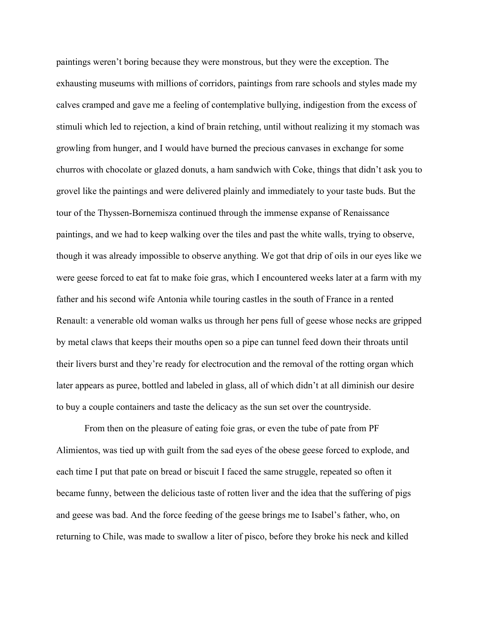paintings weren't boring because they were monstrous, but they were the exception. The exhausting museums with millions of corridors, paintings from rare schools and styles made my calves cramped and gave me a feeling of contemplative bullying, indigestion from the excess of stimuli which led to rejection, a kind of brain retching, until without realizing it my stomach was growling from hunger, and I would have burned the precious canvases in exchange for some churros with chocolate or glazed donuts, a ham sandwich with Coke, things that didn't ask you to grovel like the paintings and were delivered plainly and immediately to your taste buds. But the tour of the Thyssen-Bornemisza continued through the immense expanse of Renaissance paintings, and we had to keep walking over the tiles and past the white walls, trying to observe, though it was already impossible to observe anything. We got that drip of oils in our eyes like we were geese forced to eat fat to make foie gras, which I encountered weeks later at a farm with my father and his second wife Antonia while touring castles in the south of France in a rented Renault: a venerable old woman walks us through her pens full of geese whose necks are gripped by metal claws that keeps their mouths open so a pipe can tunnel feed down their throats until their livers burst and they're ready for electrocution and the removal of the rotting organ which later appears as puree, bottled and labeled in glass, all of which didn't at all diminish our desire to buy a couple containers and taste the delicacy as the sun set over the countryside.

From then on the pleasure of eating foie gras, or even the tube of pate from PF Alimientos, was tied up with guilt from the sad eyes of the obese geese forced to explode, and each time I put that pate on bread or biscuit I faced the same struggle, repeated so often it became funny, between the delicious taste of rotten liver and the idea that the suffering of pigs and geese was bad. And the force feeding of the geese brings me to Isabel's father, who, on returning to Chile, was made to swallow a liter of pisco, before they broke his neck and killed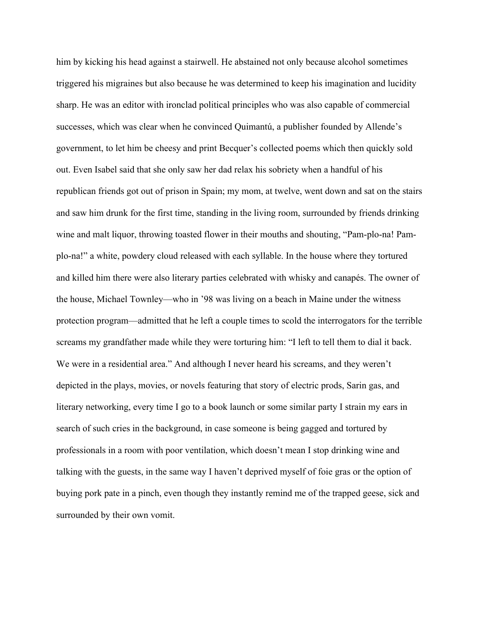him by kicking his head against a stairwell. He abstained not only because alcohol sometimes triggered his migraines but also because he was determined to keep his imagination and lucidity sharp. He was an editor with ironclad political principles who was also capable of commercial successes, which was clear when he convinced Quimantú, a publisher founded by Allende's government, to let him be cheesy and print Becquer's collected poems which then quickly sold out. Even Isabel said that she only saw her dad relax his sobriety when a handful of his republican friends got out of prison in Spain; my mom, at twelve, went down and sat on the stairs and saw him drunk for the first time, standing in the living room, surrounded by friends drinking wine and malt liquor, throwing toasted flower in their mouths and shouting, "Pam-plo-na! Pamplo-na!" a white, powdery cloud released with each syllable. In the house where they tortured and killed him there were also literary parties celebrated with whisky and canapés. The owner of the house, Michael Townley—who in '98 was living on a beach in Maine under the witness protection program—admitted that he left a couple times to scold the interrogators for the terrible screams my grandfather made while they were torturing him: "I left to tell them to dial it back. We were in a residential area." And although I never heard his screams, and they weren't depicted in the plays, movies, or novels featuring that story of electric prods, Sarin gas, and literary networking, every time I go to a book launch or some similar party I strain my ears in search of such cries in the background, in case someone is being gagged and tortured by professionals in a room with poor ventilation, which doesn't mean I stop drinking wine and talking with the guests, in the same way I haven't deprived myself of foie gras or the option of buying pork pate in a pinch, even though they instantly remind me of the trapped geese, sick and surrounded by their own vomit.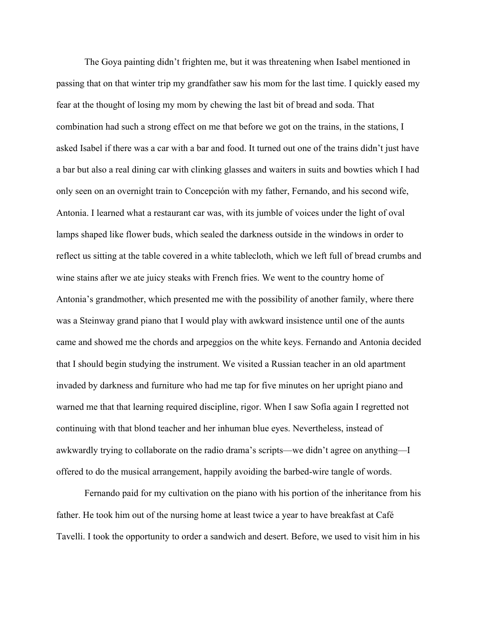The Goya painting didn't frighten me, but it was threatening when Isabel mentioned in passing that on that winter trip my grandfather saw his mom for the last time. I quickly eased my fear at the thought of losing my mom by chewing the last bit of bread and soda. That combination had such a strong effect on me that before we got on the trains, in the stations, I asked Isabel if there was a car with a bar and food. It turned out one of the trains didn't just have a bar but also a real dining car with clinking glasses and waiters in suits and bowties which I had only seen on an overnight train to Concepción with my father, Fernando, and his second wife, Antonia. I learned what a restaurant car was, with its jumble of voices under the light of oval lamps shaped like flower buds, which sealed the darkness outside in the windows in order to reflect us sitting at the table covered in a white tablecloth, which we left full of bread crumbs and wine stains after we ate juicy steaks with French fries. We went to the country home of Antonia's grandmother, which presented me with the possibility of another family, where there was a Steinway grand piano that I would play with awkward insistence until one of the aunts came and showed me the chords and arpeggios on the white keys. Fernando and Antonia decided that I should begin studying the instrument. We visited a Russian teacher in an old apartment invaded by darkness and furniture who had me tap for five minutes on her upright piano and warned me that that learning required discipline, rigor. When I saw Sofía again I regretted not continuing with that blond teacher and her inhuman blue eyes. Nevertheless, instead of awkwardly trying to collaborate on the radio drama's scripts—we didn't agree on anything—I offered to do the musical arrangement, happily avoiding the barbed-wire tangle of words.

Fernando paid for my cultivation on the piano with his portion of the inheritance from his father. He took him out of the nursing home at least twice a year to have breakfast at Café Tavelli. I took the opportunity to order a sandwich and desert. Before, we used to visit him in his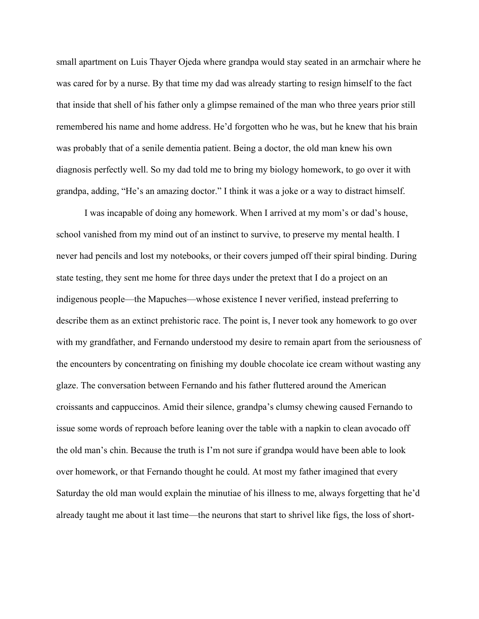small apartment on Luis Thayer Ojeda where grandpa would stay seated in an armchair where he was cared for by a nurse. By that time my dad was already starting to resign himself to the fact that inside that shell of his father only a glimpse remained of the man who three years prior still remembered his name and home address. He'd forgotten who he was, but he knew that his brain was probably that of a senile dementia patient. Being a doctor, the old man knew his own diagnosis perfectly well. So my dad told me to bring my biology homework, to go over it with grandpa, adding, "He's an amazing doctor." I think it was a joke or a way to distract himself.

I was incapable of doing any homework. When I arrived at my mom's or dad's house, school vanished from my mind out of an instinct to survive, to preserve my mental health. I never had pencils and lost my notebooks, or their covers jumped off their spiral binding. During state testing, they sent me home for three days under the pretext that I do a project on an indigenous people—the Mapuches—whose existence I never verified, instead preferring to describe them as an extinct prehistoric race. The point is, I never took any homework to go over with my grandfather, and Fernando understood my desire to remain apart from the seriousness of the encounters by concentrating on finishing my double chocolate ice cream without wasting any glaze. The conversation between Fernando and his father fluttered around the American croissants and cappuccinos. Amid their silence, grandpa's clumsy chewing caused Fernando to issue some words of reproach before leaning over the table with a napkin to clean avocado off the old man's chin. Because the truth is I'm not sure if grandpa would have been able to look over homework, or that Fernando thought he could. At most my father imagined that every Saturday the old man would explain the minutiae of his illness to me, always forgetting that he'd already taught me about it last time—the neurons that start to shrivel like figs, the loss of short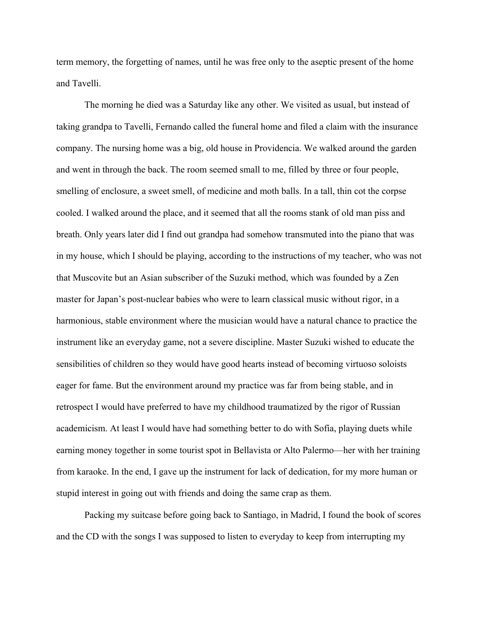term memory, the forgetting of names, until he was free only to the aseptic present of the home and Tavelli.

The morning he died was a Saturday like any other. We visited as usual, but instead of taking grandpa to Tavelli, Fernando called the funeral home and filed a claim with the insurance company. The nursing home was a big, old house in Providencia. We walked around the garden and went in through the back. The room seemed small to me, filled by three or four people, smelling of enclosure, a sweet smell, of medicine and moth balls. In a tall, thin cot the corpse cooled. I walked around the place, and it seemed that all the rooms stank of old man piss and breath. Only years later did I find out grandpa had somehow transmuted into the piano that was in my house, which I should be playing, according to the instructions of my teacher, who was not that Muscovite but an Asian subscriber of the Suzuki method, which was founded by a Zen master for Japan's post-nuclear babies who were to learn classical music without rigor, in a harmonious, stable environment where the musician would have a natural chance to practice the instrument like an everyday game, not a severe discipline. Master Suzuki wished to educate the sensibilities of children so they would have good hearts instead of becoming virtuoso soloists eager for fame. But the environment around my practice was far from being stable, and in retrospect I would have preferred to have my childhood traumatized by the rigor of Russian academicism. At least I would have had something better to do with Sofía, playing duets while earning money together in some tourist spot in Bellavista or Alto Palermo—her with her training from karaoke. In the end, I gave up the instrument for lack of dedication, for my more human or stupid interest in going out with friends and doing the same crap as them.

Packing my suitcase before going back to Santiago, in Madrid, I found the book of scores and the CD with the songs I was supposed to listen to everyday to keep from interrupting my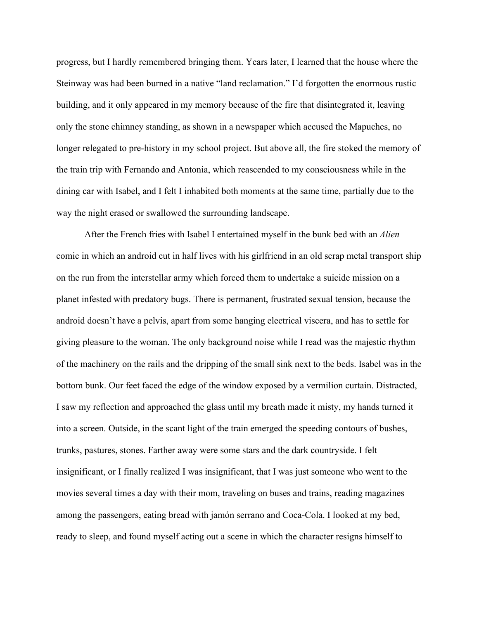progress, but I hardly remembered bringing them. Years later, I learned that the house where the Steinway was had been burned in a native "land reclamation." I'd forgotten the enormous rustic building, and it only appeared in my memory because of the fire that disintegrated it, leaving only the stone chimney standing, as shown in a newspaper which accused the Mapuches, no longer relegated to pre-history in my school project. But above all, the fire stoked the memory of the train trip with Fernando and Antonia, which reascended to my consciousness while in the dining car with Isabel, and I felt I inhabited both moments at the same time, partially due to the way the night erased or swallowed the surrounding landscape.

After the French fries with Isabel I entertained myself in the bunk bed with an *Alien* comic in which an android cut in half lives with his girlfriend in an old scrap metal transport ship on the run from the interstellar army which forced them to undertake a suicide mission on a planet infested with predatory bugs. There is permanent, frustrated sexual tension, because the android doesn't have a pelvis, apart from some hanging electrical viscera, and has to settle for giving pleasure to the woman. The only background noise while I read was the majestic rhythm of the machinery on the rails and the dripping of the small sink next to the beds. Isabel was in the bottom bunk. Our feet faced the edge of the window exposed by a vermilion curtain. Distracted, I saw my reflection and approached the glass until my breath made it misty, my hands turned it into a screen. Outside, in the scant light of the train emerged the speeding contours of bushes, trunks, pastures, stones. Farther away were some stars and the dark countryside. I felt insignificant, or I finally realized I was insignificant, that I was just someone who went to the movies several times a day with their mom, traveling on buses and trains, reading magazines among the passengers, eating bread with jamón serrano and Coca-Cola. I looked at my bed, ready to sleep, and found myself acting out a scene in which the character resigns himself to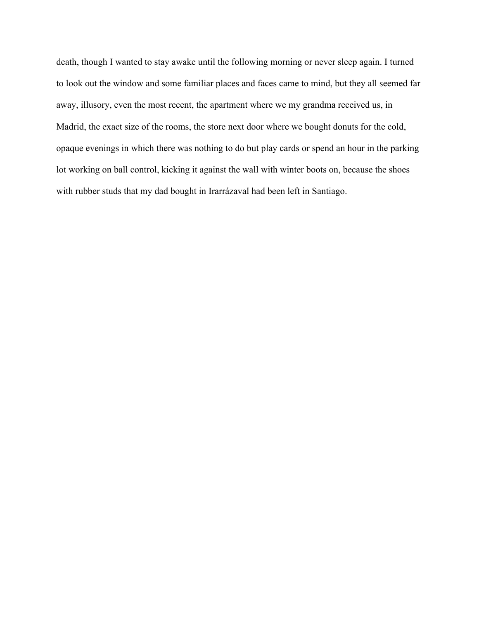death, though I wanted to stay awake until the following morning or never sleep again. I turned to look out the window and some familiar places and faces came to mind, but they all seemed far away, illusory, even the most recent, the apartment where we my grandma received us, in Madrid, the exact size of the rooms, the store next door where we bought donuts for the cold, opaque evenings in which there was nothing to do but play cards or spend an hour in the parking lot working on ball control, kicking it against the wall with winter boots on, because the shoes with rubber studs that my dad bought in Irarrázaval had been left in Santiago.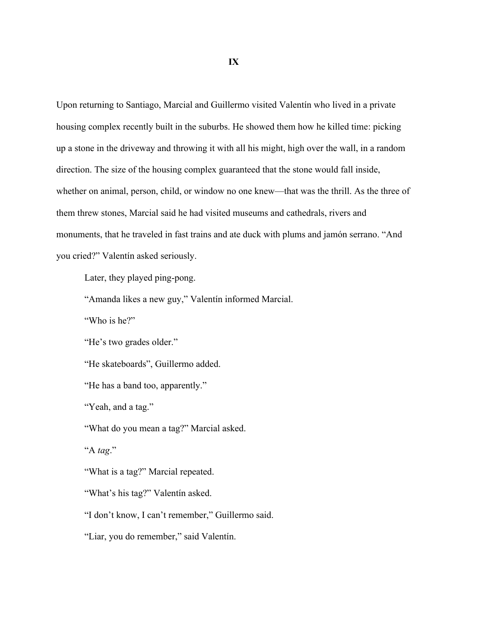Upon returning to Santiago, Marcial and Guillermo visited Valentín who lived in a private housing complex recently built in the suburbs. He showed them how he killed time: picking up a stone in the driveway and throwing it with all his might, high over the wall, in a random direction. The size of the housing complex guaranteed that the stone would fall inside, whether on animal, person, child, or window no one knew—that was the thrill. As the three of them threw stones, Marcial said he had visited museums and cathedrals, rivers and monuments, that he traveled in fast trains and ate duck with plums and jamón serrano. "And you cried?" Valentín asked seriously.

Later, they played ping-pong.

"Amanda likes a new guy," Valentín informed Marcial.

"Who is he?"

"He's two grades older."

"He skateboards", Guillermo added.

"He has a band too, apparently."

"Yeah, and a tag."

"What do you mean a tag?" Marcial asked.

"A *tag*."

"What is a tag?" Marcial repeated.

"What's his tag?" Valentín asked.

"I don't know, I can't remember," Guillermo said.

"Liar, you do remember," said Valentín.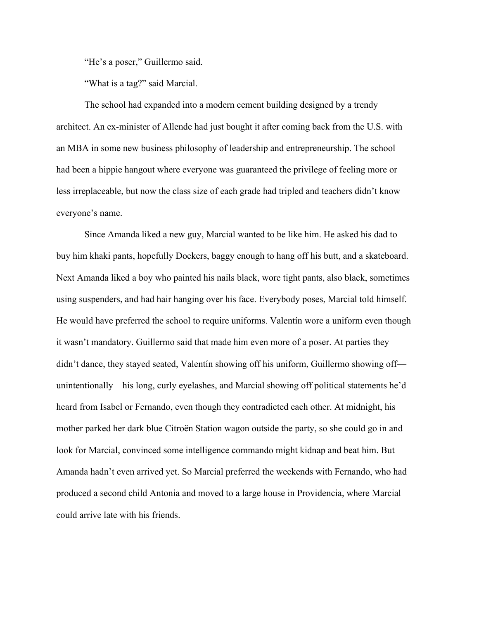"He's a poser," Guillermo said.

"What is a tag?" said Marcial.

The school had expanded into a modern cement building designed by a trendy architect. An ex-minister of Allende had just bought it after coming back from the U.S. with an MBA in some new business philosophy of leadership and entrepreneurship. The school had been a hippie hangout where everyone was guaranteed the privilege of feeling more or less irreplaceable, but now the class size of each grade had tripled and teachers didn't know everyone's name.

Since Amanda liked a new guy, Marcial wanted to be like him. He asked his dad to buy him khaki pants, hopefully Dockers, baggy enough to hang off his butt, and a skateboard. Next Amanda liked a boy who painted his nails black, wore tight pants, also black, sometimes using suspenders, and had hair hanging over his face. Everybody poses, Marcial told himself. He would have preferred the school to require uniforms. Valentín wore a uniform even though it wasn't mandatory. Guillermo said that made him even more of a poser. At parties they didn't dance, they stayed seated, Valentín showing off his uniform, Guillermo showing off unintentionally—his long, curly eyelashes, and Marcial showing off political statements he'd heard from Isabel or Fernando, even though they contradicted each other. At midnight, his mother parked her dark blue Citroën Station wagon outside the party, so she could go in and look for Marcial, convinced some intelligence commando might kidnap and beat him. But Amanda hadn't even arrived yet. So Marcial preferred the weekends with Fernando, who had produced a second child Antonia and moved to a large house in Providencia, where Marcial could arrive late with his friends.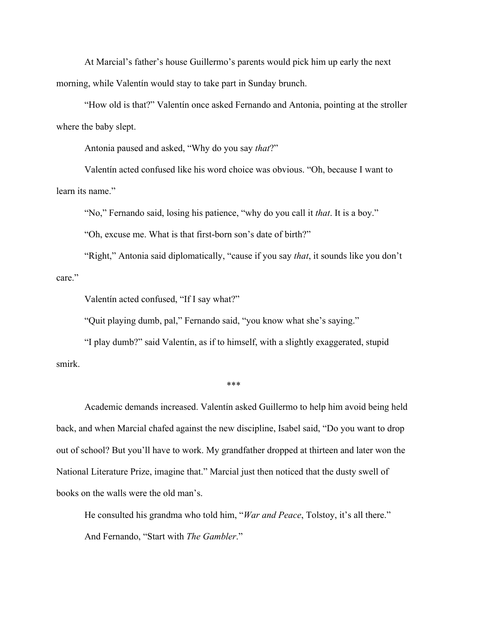At Marcial's father's house Guillermo's parents would pick him up early the next morning, while Valentín would stay to take part in Sunday brunch.

"How old is that?" Valentín once asked Fernando and Antonia, pointing at the stroller where the baby slept.

Antonia paused and asked, "Why do you say *that*?"

Valentín acted confused like his word choice was obvious. "Oh, because I want to learn its name."

"No," Fernando said, losing his patience, "why do you call it *that*. It is a boy."

"Oh, excuse me. What is that first-born son's date of birth?"

"Right," Antonia said diplomatically, "cause if you say *that*, it sounds like you don't care."

Valentín acted confused, "If I say what?"

"Quit playing dumb, pal," Fernando said, "you know what she's saying."

"I play dumb?" said Valentín, as if to himself, with a slightly exaggerated, stupid smirk.

\*\*\*

Academic demands increased. Valentín asked Guillermo to help him avoid being held back, and when Marcial chafed against the new discipline, Isabel said, "Do you want to drop out of school? But you'll have to work. My grandfather dropped at thirteen and later won the National Literature Prize, imagine that." Marcial just then noticed that the dusty swell of books on the walls were the old man's.

He consulted his grandma who told him, "*War and Peace*, Tolstoy, it's all there." And Fernando, "Start with *The Gambler*."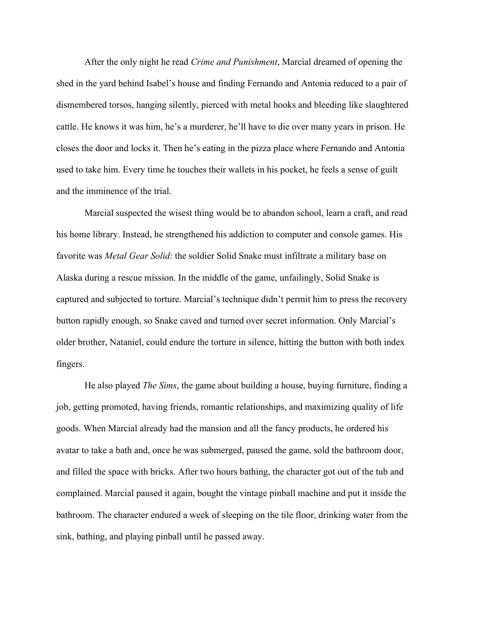After the only night he read *Crime and Punishment*, Marcial dreamed of opening the shed in the yard behind Isabel's house and finding Fernando and Antonia reduced to a pair of dismembered torsos, hanging silently, pierced with metal hooks and bleeding like slaughtered cattle. He knows it was him, he's a murderer, he'll have to die over many years in prison. He closes the door and locks it. Then he's eating in the pizza place where Fernando and Antonia used to take him. Every time he touches their wallets in his pocket, he feels a sense of guilt and the imminence of the trial.

Marcial suspected the wisest thing would be to abandon school, learn a craft, and read his home library. Instead, he strengthened his addiction to computer and console games. His favorite was *Metal Gear Solid*: the soldier Solid Snake must infiltrate a military base on Alaska during a rescue mission. In the middle of the game, unfailingly, Solid Snake is captured and subjected to torture. Marcial's technique didn't permit him to press the recovery button rapidly enough, so Snake caved and turned over secret information. Only Marcial's older brother, Nataniel, could endure the torture in silence, hitting the button with both index fingers.

He also played *The Sims*, the game about building a house, buying furniture, finding a job, getting promoted, having friends, romantic relationships, and maximizing quality of life goods. When Marcial already had the mansion and all the fancy products, he ordered his avatar to take a bath and, once he was submerged, paused the game, sold the bathroom door, and filled the space with bricks. After two hours bathing, the character got out of the tub and complained. Marcial paused it again, bought the vintage pinball machine and put it inside the bathroom. The character endured a week of sleeping on the tile floor, drinking water from the sink, bathing, and playing pinball until he passed away.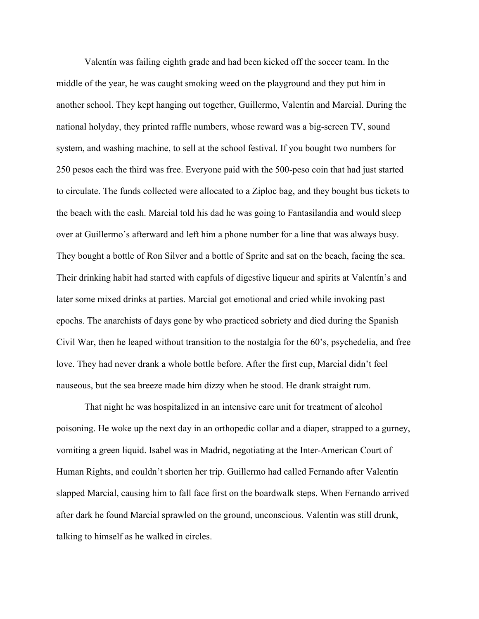Valentín was failing eighth grade and had been kicked off the soccer team. In the middle of the year, he was caught smoking weed on the playground and they put him in another school. They kept hanging out together, Guillermo, Valentín and Marcial. During the national holyday, they printed raffle numbers, whose reward was a big-screen TV, sound system, and washing machine, to sell at the school festival. If you bought two numbers for 250 pesos each the third was free. Everyone paid with the 500-peso coin that had just started to circulate. The funds collected were allocated to a Ziploc bag, and they bought bus tickets to the beach with the cash. Marcial told his dad he was going to Fantasilandia and would sleep over at Guillermo's afterward and left him a phone number for a line that was always busy. They bought a bottle of Ron Silver and a bottle of Sprite and sat on the beach, facing the sea. Their drinking habit had started with capfuls of digestive liqueur and spirits at Valentín's and later some mixed drinks at parties. Marcial got emotional and cried while invoking past epochs. The anarchists of days gone by who practiced sobriety and died during the Spanish Civil War, then he leaped without transition to the nostalgia for the 60's, psychedelia, and free love. They had never drank a whole bottle before. After the first cup, Marcial didn't feel nauseous, but the sea breeze made him dizzy when he stood. He drank straight rum.

That night he was hospitalized in an intensive care unit for treatment of alcohol poisoning. He woke up the next day in an orthopedic collar and a diaper, strapped to a gurney, vomiting a green liquid. Isabel was in Madrid, negotiating at the Inter-American Court of Human Rights, and couldn't shorten her trip. Guillermo had called Fernando after Valentín slapped Marcial, causing him to fall face first on the boardwalk steps. When Fernando arrived after dark he found Marcial sprawled on the ground, unconscious. Valentín was still drunk, talking to himself as he walked in circles.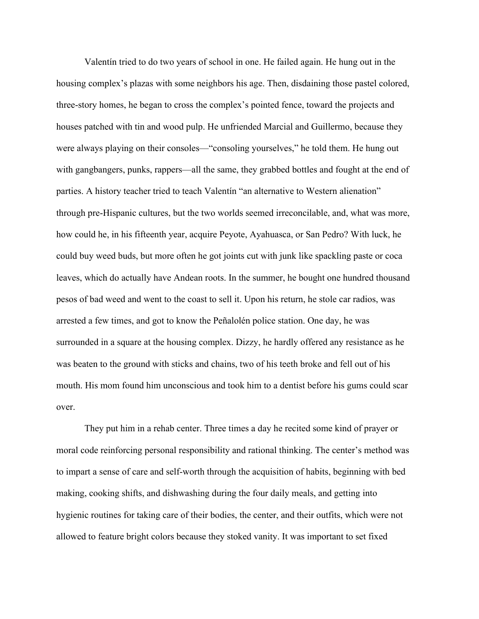Valentín tried to do two years of school in one. He failed again. He hung out in the housing complex's plazas with some neighbors his age. Then, disdaining those pastel colored, three-story homes, he began to cross the complex's pointed fence, toward the projects and houses patched with tin and wood pulp. He unfriended Marcial and Guillermo, because they were always playing on their consoles—"consoling yourselves," he told them. He hung out with gangbangers, punks, rappers—all the same, they grabbed bottles and fought at the end of parties. A history teacher tried to teach Valentín "an alternative to Western alienation" through pre-Hispanic cultures, but the two worlds seemed irreconcilable, and, what was more, how could he, in his fifteenth year, acquire Peyote, Ayahuasca, or San Pedro? With luck, he could buy weed buds, but more often he got joints cut with junk like spackling paste or coca leaves, which do actually have Andean roots. In the summer, he bought one hundred thousand pesos of bad weed and went to the coast to sell it. Upon his return, he stole car radios, was arrested a few times, and got to know the Peñalolén police station. One day, he was surrounded in a square at the housing complex. Dizzy, he hardly offered any resistance as he was beaten to the ground with sticks and chains, two of his teeth broke and fell out of his mouth. His mom found him unconscious and took him to a dentist before his gums could scar over.

They put him in a rehab center. Three times a day he recited some kind of prayer or moral code reinforcing personal responsibility and rational thinking. The center's method was to impart a sense of care and self-worth through the acquisition of habits, beginning with bed making, cooking shifts, and dishwashing during the four daily meals, and getting into hygienic routines for taking care of their bodies, the center, and their outfits, which were not allowed to feature bright colors because they stoked vanity. It was important to set fixed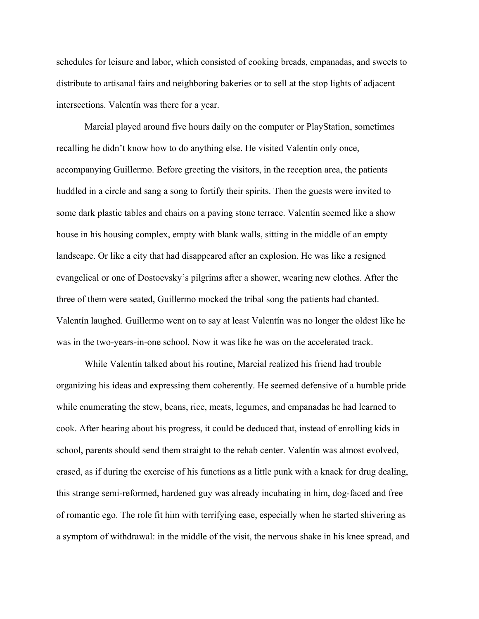schedules for leisure and labor, which consisted of cooking breads, empanadas, and sweets to distribute to artisanal fairs and neighboring bakeries or to sell at the stop lights of adjacent intersections. Valentín was there for a year.

Marcial played around five hours daily on the computer or PlayStation, sometimes recalling he didn't know how to do anything else. He visited Valentín only once, accompanying Guillermo. Before greeting the visitors, in the reception area, the patients huddled in a circle and sang a song to fortify their spirits. Then the guests were invited to some dark plastic tables and chairs on a paving stone terrace. Valentín seemed like a show house in his housing complex, empty with blank walls, sitting in the middle of an empty landscape. Or like a city that had disappeared after an explosion. He was like a resigned evangelical or one of Dostoevsky's pilgrims after a shower, wearing new clothes. After the three of them were seated, Guillermo mocked the tribal song the patients had chanted. Valentín laughed. Guillermo went on to say at least Valentín was no longer the oldest like he was in the two-years-in-one school. Now it was like he was on the accelerated track.

While Valentín talked about his routine, Marcial realized his friend had trouble organizing his ideas and expressing them coherently. He seemed defensive of a humble pride while enumerating the stew, beans, rice, meats, legumes, and empanadas he had learned to cook. After hearing about his progress, it could be deduced that, instead of enrolling kids in school, parents should send them straight to the rehab center. Valentín was almost evolved, erased, as if during the exercise of his functions as a little punk with a knack for drug dealing, this strange semi-reformed, hardened guy was already incubating in him, dog-faced and free of romantic ego. The role fit him with terrifying ease, especially when he started shivering as a symptom of withdrawal: in the middle of the visit, the nervous shake in his knee spread, and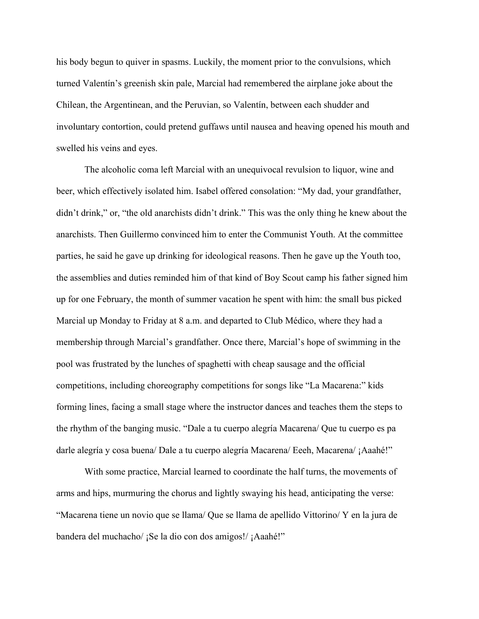his body begun to quiver in spasms. Luckily, the moment prior to the convulsions, which turned Valentín's greenish skin pale, Marcial had remembered the airplane joke about the Chilean, the Argentinean, and the Peruvian, so Valentín, between each shudder and involuntary contortion, could pretend guffaws until nausea and heaving opened his mouth and swelled his veins and eyes.

The alcoholic coma left Marcial with an unequivocal revulsion to liquor, wine and beer, which effectively isolated him. Isabel offered consolation: "My dad, your grandfather, didn't drink," or, "the old anarchists didn't drink." This was the only thing he knew about the anarchists. Then Guillermo convinced him to enter the Communist Youth. At the committee parties, he said he gave up drinking for ideological reasons. Then he gave up the Youth too, the assemblies and duties reminded him of that kind of Boy Scout camp his father signed him up for one February, the month of summer vacation he spent with him: the small bus picked Marcial up Monday to Friday at 8 a.m. and departed to Club Médico, where they had a membership through Marcial's grandfather. Once there, Marcial's hope of swimming in the pool was frustrated by the lunches of spaghetti with cheap sausage and the official competitions, including choreography competitions for songs like "La Macarena:" kids forming lines, facing a small stage where the instructor dances and teaches them the steps to the rhythm of the banging music. "Dale a tu cuerpo alegría Macarena/ Que tu cuerpo es pa darle alegría y cosa buena/ Dale a tu cuerpo alegría Macarena/ Eeeh, Macarena/ ¡Aaahé!"

With some practice, Marcial learned to coordinate the half turns, the movements of arms and hips, murmuring the chorus and lightly swaying his head, anticipating the verse: "Macarena tiene un novio que se llama/ Que se llama de apellido Vittorino/ Y en la jura de bandera del muchacho/ ¡Se la dio con dos amigos!/ ¡Aaahé!"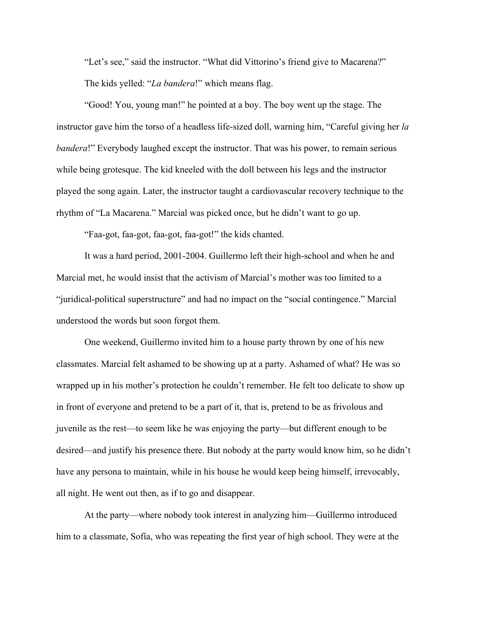"Let's see," said the instructor. "What did Vittorino's friend give to Macarena?" The kids yelled: "*La bandera*!" which means flag.

"Good! You, young man!" he pointed at a boy. The boy went up the stage. The instructor gave him the torso of a headless life-sized doll, warning him, "Careful giving her *la bandera*!" Everybody laughed except the instructor. That was his power, to remain serious while being grotesque. The kid kneeled with the doll between his legs and the instructor played the song again. Later, the instructor taught a cardiovascular recovery technique to the rhythm of "La Macarena." Marcial was picked once, but he didn't want to go up.

"Faa-got, faa-got, faa-got, faa-got!" the kids chanted.

It was a hard period, 2001-2004. Guillermo left their high-school and when he and Marcial met, he would insist that the activism of Marcial's mother was too limited to a "juridical-political superstructure" and had no impact on the "social contingence." Marcial understood the words but soon forgot them.

One weekend, Guillermo invited him to a house party thrown by one of his new classmates. Marcial felt ashamed to be showing up at a party. Ashamed of what? He was so wrapped up in his mother's protection he couldn't remember. He felt too delicate to show up in front of everyone and pretend to be a part of it, that is, pretend to be as frivolous and juvenile as the rest—to seem like he was enjoying the party—but different enough to be desired—and justify his presence there. But nobody at the party would know him, so he didn't have any persona to maintain, while in his house he would keep being himself, irrevocably, all night. He went out then, as if to go and disappear.

At the party—where nobody took interest in analyzing him—Guillermo introduced him to a classmate, Sofía, who was repeating the first year of high school. They were at the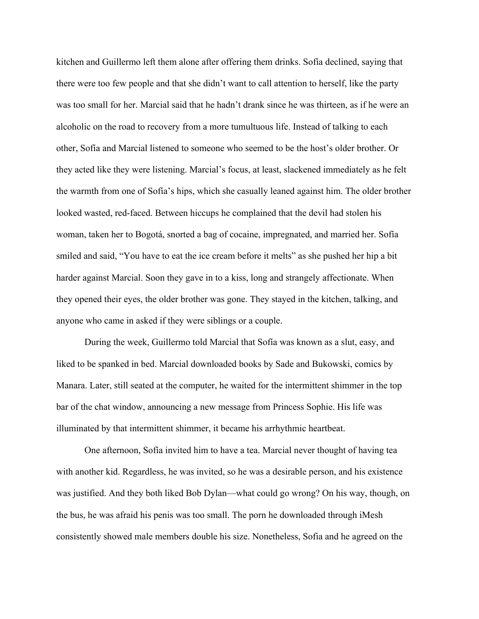kitchen and Guillermo left them alone after offering them drinks. Sofía declined, saying that there were too few people and that she didn't want to call attention to herself, like the party was too small for her. Marcial said that he hadn't drank since he was thirteen, as if he were an alcoholic on the road to recovery from a more tumultuous life. Instead of talking to each other, Sofía and Marcial listened to someone who seemed to be the host's older brother. Or they acted like they were listening. Marcial's focus, at least, slackened immediately as he felt the warmth from one of Sofía's hips, which she casually leaned against him. The older brother looked wasted, red-faced. Between hiccups he complained that the devil had stolen his woman, taken her to Bogotá, snorted a bag of cocaine, impregnated, and married her. Sofía smiled and said, "You have to eat the ice cream before it melts" as she pushed her hip a bit harder against Marcial. Soon they gave in to a kiss, long and strangely affectionate. When they opened their eyes, the older brother was gone. They stayed in the kitchen, talking, and anyone who came in asked if they were siblings or a couple.

During the week, Guillermo told Marcial that Sofía was known as a slut, easy, and liked to be spanked in bed. Marcial downloaded books by Sade and Bukowski, comics by Manara. Later, still seated at the computer, he waited for the intermittent shimmer in the top bar of the chat window, announcing a new message from Princess Sophie. His life was illuminated by that intermittent shimmer, it became his arrhythmic heartbeat.

One afternoon, Sofía invited him to have a tea. Marcial never thought of having tea with another kid. Regardless, he was invited, so he was a desirable person, and his existence was justified. And they both liked Bob Dylan—what could go wrong? On his way, though, on the bus, he was afraid his penis was too small. The porn he downloaded through iMesh consistently showed male members double his size. Nonetheless, Sofia and he agreed on the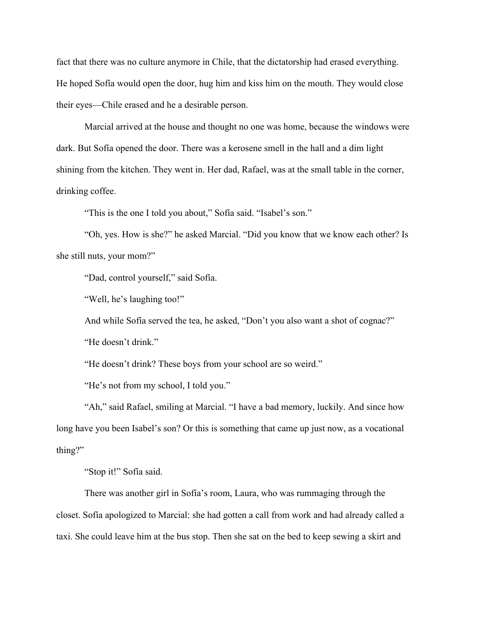fact that there was no culture anymore in Chile, that the dictatorship had erased everything. He hoped Sofía would open the door, hug him and kiss him on the mouth. They would close their eyes—Chile erased and he a desirable person.

Marcial arrived at the house and thought no one was home, because the windows were dark. But Sofía opened the door. There was a kerosene smell in the hall and a dim light shining from the kitchen. They went in. Her dad, Rafael, was at the small table in the corner, drinking coffee.

"This is the one I told you about," Sofía said. "Isabel's son."

"Oh, yes. How is she?" he asked Marcial. "Did you know that we know each other? Is she still nuts, your mom?"

"Dad, control yourself," said Sofía.

"Well, he's laughing too!"

And while Sofía served the tea, he asked, "Don't you also want a shot of cognac?"

"He doesn't drink."

"He doesn't drink? These boys from your school are so weird."

"He's not from my school, I told you."

"Ah," said Rafael, smiling at Marcial. "I have a bad memory, luckily. And since how long have you been Isabel's son? Or this is something that came up just now, as a vocational thing?"

"Stop it!" Sofía said.

There was another girl in Sofía's room, Laura, who was rummaging through the closet. Sofía apologized to Marcial: she had gotten a call from work and had already called a taxi. She could leave him at the bus stop. Then she sat on the bed to keep sewing a skirt and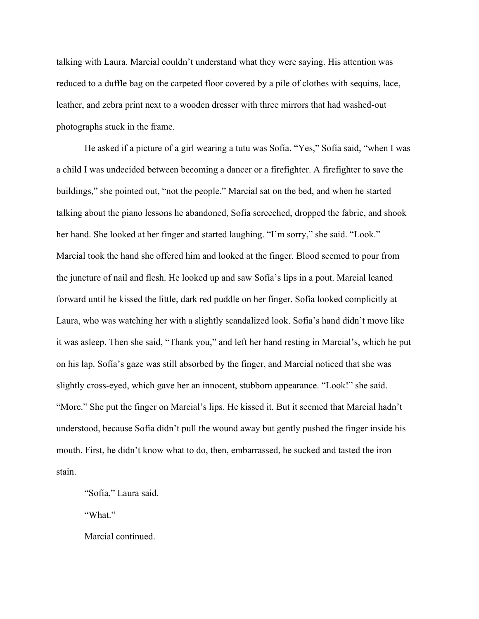talking with Laura. Marcial couldn't understand what they were saying. His attention was reduced to a duffle bag on the carpeted floor covered by a pile of clothes with sequins, lace, leather, and zebra print next to a wooden dresser with three mirrors that had washed-out photographs stuck in the frame.

He asked if a picture of a girl wearing a tutu was Sofía. "Yes," Sofía said, "when I was a child I was undecided between becoming a dancer or a firefighter. A firefighter to save the buildings," she pointed out, "not the people." Marcial sat on the bed, and when he started talking about the piano lessons he abandoned, Sofía screeched, dropped the fabric, and shook her hand. She looked at her finger and started laughing. "I'm sorry," she said. "Look." Marcial took the hand she offered him and looked at the finger. Blood seemed to pour from the juncture of nail and flesh. He looked up and saw Sofía's lips in a pout. Marcial leaned forward until he kissed the little, dark red puddle on her finger. Sofía looked complicitly at Laura, who was watching her with a slightly scandalized look. Sofía's hand didn't move like it was asleep. Then she said, "Thank you," and left her hand resting in Marcial's, which he put on his lap. Sofía's gaze was still absorbed by the finger, and Marcial noticed that she was slightly cross-eyed, which gave her an innocent, stubborn appearance. "Look!" she said. "More." She put the finger on Marcial's lips. He kissed it. But it seemed that Marcial hadn't understood, because Sofía didn't pull the wound away but gently pushed the finger inside his mouth. First, he didn't know what to do, then, embarrassed, he sucked and tasted the iron stain.

"Sofía," Laura said.

"What."

Marcial continued.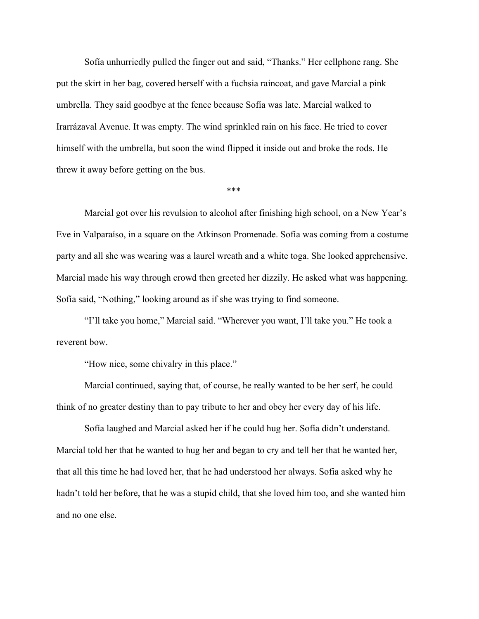Sofía unhurriedly pulled the finger out and said, "Thanks." Her cellphone rang. She put the skirt in her bag, covered herself with a fuchsia raincoat, and gave Marcial a pink umbrella. They said goodbye at the fence because Sofía was late. Marcial walked to Irarrázaval Avenue. It was empty. The wind sprinkled rain on his face. He tried to cover himself with the umbrella, but soon the wind flipped it inside out and broke the rods. He threw it away before getting on the bus.

\*\*\*

Marcial got over his revulsion to alcohol after finishing high school, on a New Year's Eve in Valparaíso, in a square on the Atkinson Promenade. Sofía was coming from a costume party and all she was wearing was a laurel wreath and a white toga. She looked apprehensive. Marcial made his way through crowd then greeted her dizzily. He asked what was happening. Sofía said, "Nothing," looking around as if she was trying to find someone.

"I'll take you home," Marcial said. "Wherever you want, I'll take you." He took a reverent bow.

"How nice, some chivalry in this place."

Marcial continued, saying that, of course, he really wanted to be her serf, he could think of no greater destiny than to pay tribute to her and obey her every day of his life.

Sofía laughed and Marcial asked her if he could hug her. Sofía didn't understand. Marcial told her that he wanted to hug her and began to cry and tell her that he wanted her, that all this time he had loved her, that he had understood her always. Sofía asked why he hadn't told her before, that he was a stupid child, that she loved him too, and she wanted him and no one else.